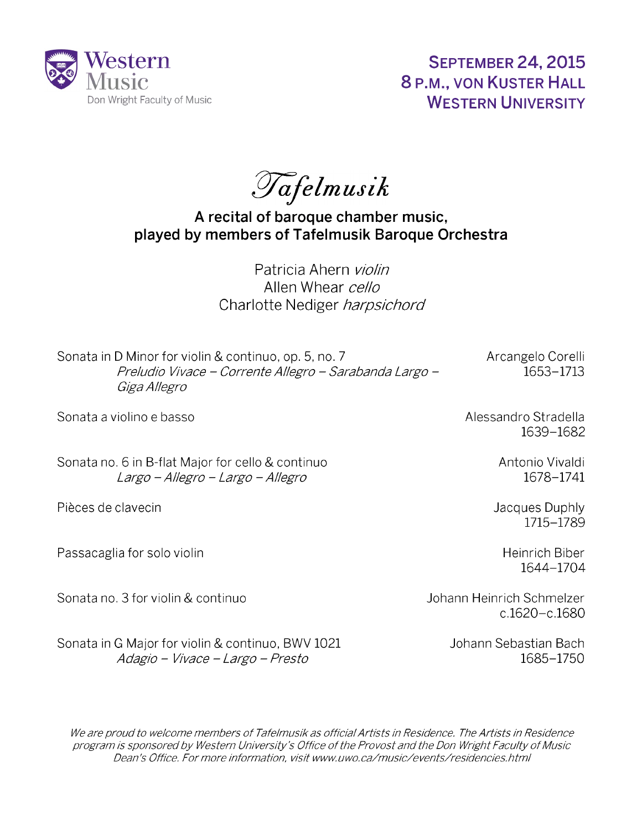

**September 24, 2015 8 P.M., von Kuster Hall WESTERN UNIVERSITY**

Tafelmusik

**A recital of baroque chamber music, played by members of Tafelmusik Baroque Orchestra**

> Patricia Ahern *violin* Allen Whear *cello* Charlotte Nediger *harpsichord*

Sonata in D Minor for violin & continuo, op. 5, no. 7 Arcangelo Corelli *Preludio Vivace - Corrente Allegro - Sarabanda Largo -* 1653-1713 *Giga Allegro*

Sonata a violino e basso

Sonata no. 6 in B-flat Major for cello & continuo *Largo - Allegro - Largo - Allegro*

Pièces de clavecin

Passacaglia for solo violin

Sonata no. 3 for violin & continuo Johann Heinrich Schmelzer

Sonata in G Major for violin & continuo, BWV 1021 *Adagio - Vivace - Largo - Presto*

Alessandro Stradella 1639-1682

> Antonio Vivaldi 1678-1741

Jacques Duphly 1715-1789

> Heinrich Biber 1644-1704

c.1620-c.1680

Johann Sebastian Bach 1685-1750

We are proud to welcome members of Tafelmusik as official Artists in Residence. The Artists in Residence *program is sponsored by Western University's Office o f the Provost and the Don Wright Faculty o f Music Dean's Office. For more information, visit [www.uwo.ca/music/events/residencies.html](http://www.uwo.ca/music/events/residencies.html)*